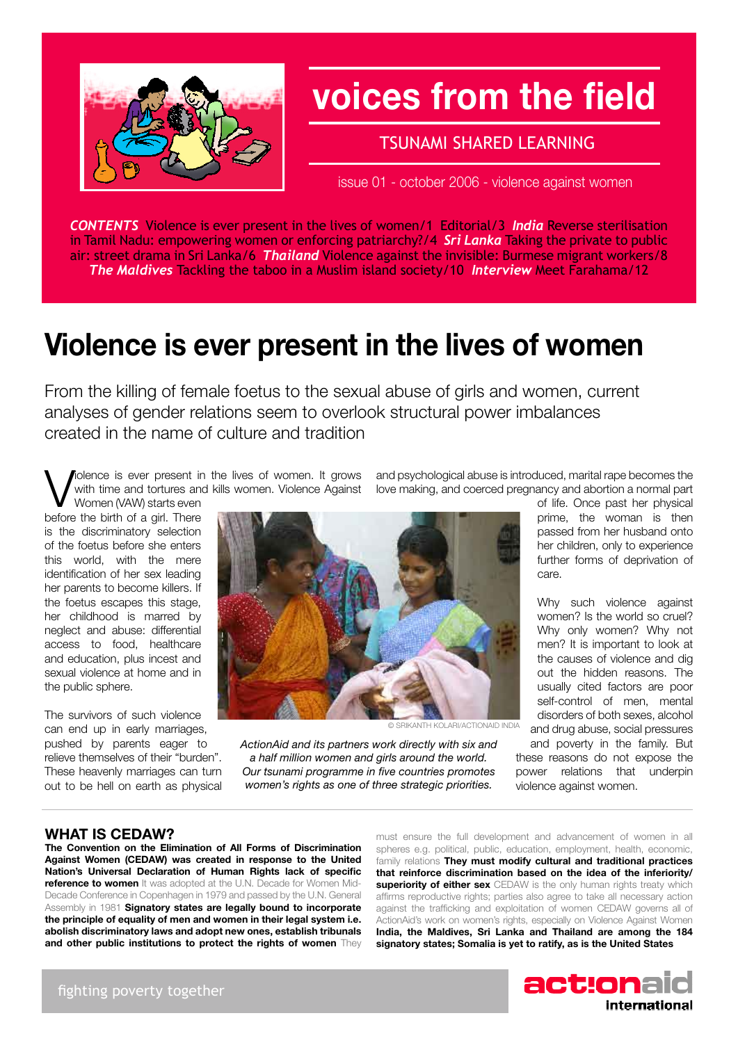

## **voices from the field**

### TSUNAMI SHARED LEARNING

issue 01 - october 2006 - violence against women

*CONTENTS* Violence is ever present in the lives of women/1 Editorial/3 *India* Reverse sterilisation in Tamil Nadu: empowering women or enforcing patriarchy?/4 *Sri Lanka* Taking the private to public air: street drama in Sri Lanka/6 *Thailand* Violence against the invisible: Burmese migrant workers/8 *The Maldives* Tackling the taboo in a Muslim island society/10 *Interview* Meet Farahama/12

## **Violence is ever present in the lives of women**

From the killing of female foetus to the sexual abuse of girls and women, current analyses of gender relations seem to overlook structural power imbalances created in the name of culture and tradition

lolence is ever present in the lives of women. It grows with time and tortures and kills women. Violence Against Women (VAW) starts even

before the birth of a girl. There is the discriminatory selection of the foetus before she enters this world, with the mere identification of her sex leading her parents to become killers. If the foetus escapes this stage, her childhood is marred by neglect and abuse: differential access to food, healthcare and education, plus incest and sexual violence at home and in the public sphere.

The survivors of such violence can end up in early marriages, pushed by parents eager to relieve themselves of their "burden". These heavenly marriages can turn out to be hell on earth as physical

and psychological abuse is introduced, marital rape becomes the love making, and coerced pregnancy and abortion a normal part



Why such violence against women? Is the world so cruel? Why only women? Why not men? It is important to look at the causes of violence and dig out the hidden reasons. The usually cited factors are poor self-control of men, mental disorders of both sexes, alcohol and drug abuse, social pressures

and poverty in the family. But these reasons do not expose the power relations that underpin violence against women.

© Srikanth Kolari/actionaid india

*ActionAid and its partners work directly with six and a half million women and girls around the world. Our tsunami programme in five countries promotes women's rights as one of three strategic priorities.* 

### **WHAT IS CEDAW?**

**The Convention on the Elimination of All Forms of Discrimination Against Women (CEDAW) was created in response to the United Nation's Universal Declaration of Human Rights lack of specific reference to women** It was adopted at the U.N. Decade for Women Mid-Decade Conference in Copenhagen in 1979 and passed by the U.N. General Assembly in 1981 **Signatory states are legally bound to incorporate the principle of equality of men and women in their legal system i.e. abolish discriminatory laws and adopt new ones, establish tribunals and other public institutions to protect the rights of women** They

must ensure the full development and advancement of women in all spheres e.g. political, public, education, employment, health, economic, family relations **They must modify cultural and traditional practices that reinforce discrimination based on the idea of the inferiority/ superiority of either sex** CEDAW is the only human rights treaty which affirms reproductive rights; parties also agree to take all necessary action against the trafficking and exploitation of women CEDAW governs all of ActionAid's work on women's rights, especially on Violence Against Women **India, the Maldives, Sri Lanka and Thailand are among the 184 signatory states; Somalia is yet to ratify, as is the United States**

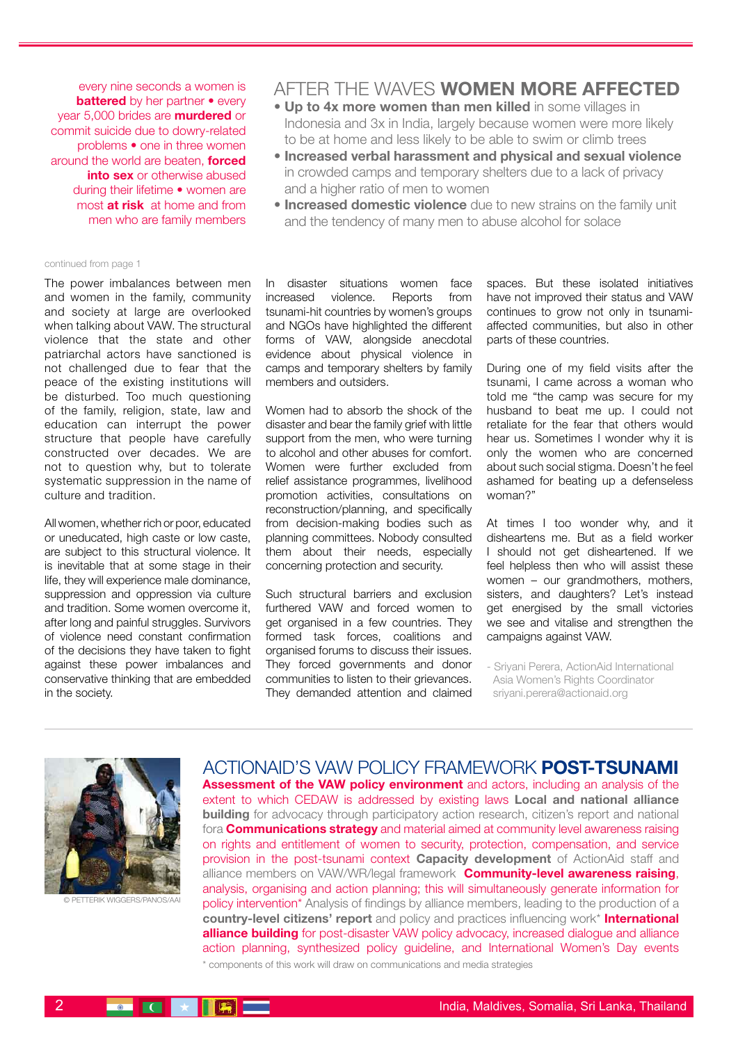every nine seconds a women is **battered** by her partner • every year 5,000 brides are **murdered** or commit suicide due to dowry-related problems • one in three women around the world are beaten, **forced into sex** or otherwise abused during their lifetime • women are most **at risk** at home and from men who are family members

#### continued from page 1

The power imbalances between men and women in the family, community and society at large are overlooked when talking about VAW. The structural violence that the state and other patriarchal actors have sanctioned is not challenged due to fear that the peace of the existing institutions will be disturbed. Too much questioning of the family, religion, state, law and education can interrupt the power structure that people have carefully constructed over decades. We are not to question why, but to tolerate systematic suppression in the name of culture and tradition.

All women, whether rich or poor, educated or uneducated, high caste or low caste, are subject to this structural violence. It is inevitable that at some stage in their life, they will experience male dominance, suppression and oppression via culture and tradition. Some women overcome it, after long and painful struggles. Survivors of violence need constant confirmation of the decisions they have taken to fight against these power imbalances and conservative thinking that are embedded in the society.

### AFTER THE WAVES **WOMEN MORE AFFECTED**

- **Up to 4x more women than men killed** in some villages in Indonesia and 3x in India, largely because women were more likely to be at home and less likely to be able to swim or climb trees
- **Increased verbal harassment and physical and sexual violence** in crowded camps and temporary shelters due to a lack of privacy and a higher ratio of men to women
- **Increased domestic violence** due to new strains on the family unit and the tendency of many men to abuse alcohol for solace

In disaster situations women face increased violence. Reports from tsunami-hit countries by women's groups and NGOs have highlighted the different forms of VAW, alongside anecdotal evidence about physical violence in camps and temporary shelters by family members and outsiders.

Women had to absorb the shock of the disaster and bear the family grief with little support from the men, who were turning to alcohol and other abuses for comfort. Women were further excluded from relief assistance programmes, livelihood promotion activities, consultations on reconstruction/planning, and specifically from decision-making bodies such as planning committees. Nobody consulted them about their needs, especially concerning protection and security.

Such structural barriers and exclusion furthered VAW and forced women to get organised in a few countries. They formed task forces, coalitions and organised forums to discuss their issues. They forced governments and donor communities to listen to their grievances. They demanded attention and claimed spaces. But these isolated initiatives have not improved their status and VAW continues to grow not only in tsunamiaffected communities, but also in other parts of these countries.

During one of my field visits after the tsunami, I came across a woman who told me "the camp was secure for my husband to beat me up. I could not retaliate for the fear that others would hear us. Sometimes I wonder why it is only the women who are concerned about such social stigma. Doesn't he feel ashamed for beating up a defenseless woman?"

At times I too wonder why, and it disheartens me. But as a field worker I should not get disheartened. If we feel helpless then who will assist these women – our grandmothers, mothers, sisters, and daughters? Let's instead get energised by the small victories we see and vitalise and strengthen the campaigns against VAW.

- Sriyani Perera, ActionAid International Asia Women's Rights Coordinator sriyani.perera@actionaid.org



© petterik wiggers/panos/aai

Actionaid's vaw policy framework **post-tsunami Assessment of the VAW policy environment** and actors, including an analysis of the extent to which CEDAW is addressed by existing laws **Local and national alliance building** for advocacy through participatory action research, citizen's report and national fora **Communications strategy** and material aimed at community level awareness raising on rights and entitlement of women to security, protection, compensation, and service provision in the post-tsunami context **Capacity development** of ActionAid staff and alliance members on VAW/WR/legal framework **Community-level awareness raising**, analysis, organising and action planning; this will simultaneously generate information for policy intervention\* Analysis of findings by alliance members, leading to the production of a **country-level citizens' report** and policy and practices influencing work\* **International alliance building** for post-disaster VAW policy advocacy, increased dialogue and alliance action planning, synthesized policy guideline, and International Women's Day events \* components of this work will draw on communications and media strategies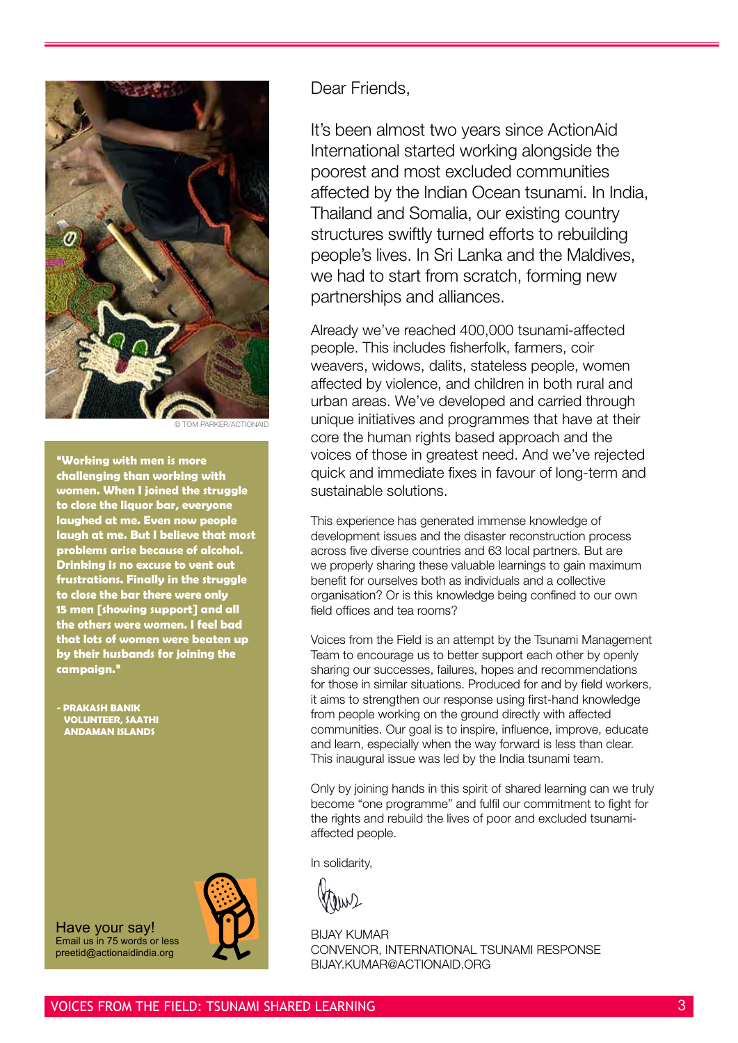

**M PARKER/ACTIONAID** 

**"Working with men is more challenging than working with women. When I joined the struggle to close the liquor bar, everyone laughed at me. Even now people laugh at me. But I believe that most problems arise because of alcohol. Drinking is no excuse to vent out frustrations. Finally in the struggle to close the bar there were only 15 men [showing support] and all the others were women. I feel bad that lots of women were beaten up by their husbands for joining the campaign."**

**- Prakash Banik Volunteer, saathi Andaman Islands**

Have your say! Email us in 75 words or less preetid@actionaidindia.org

Dear Friends,

It's been almost two years since ActionAid International started working alongside the poorest and most excluded communities affected by the Indian Ocean tsunami. In India, Thailand and Somalia, our existing country structures swiftly turned efforts to rebuilding people's lives. In Sri Lanka and the Maldives, we had to start from scratch, forming new partnerships and alliances.

Already we've reached 400,000 tsunami-affected people. This includes fisherfolk, farmers, coir weavers, widows, dalits, stateless people, women affected by violence, and children in both rural and urban areas. We've developed and carried through unique initiatives and programmes that have at their core the human rights based approach and the voices of those in greatest need. And we've rejected quick and immediate fixes in favour of long-term and sustainable solutions.

This experience has generated immense knowledge of development issues and the disaster reconstruction process across five diverse countries and 63 local partners. But are we properly sharing these valuable learnings to gain maximum benefit for ourselves both as individuals and a collective organisation? Or is this knowledge being confined to our own field offices and tea rooms?

Voices from the Field is an attempt by the Tsunami Management Team to encourage us to better support each other by openly sharing our successes, failures, hopes and recommendations for those in similar situations. Produced for and by field workers, it aims to strengthen our response using first-hand knowledge from people working on the ground directly with affected communities. Our goal is to inspire, influence, improve, educate and learn, especially when the way forward is less than clear. This inaugural issue was led by the India tsunami team.

Only by joining hands in this spirit of shared learning can we truly become "one programme" and fulfil our commitment to fight for the rights and rebuild the lives of poor and excluded tsunamiaffected people.

In solidarity,

**BIJAY KUMAR** Convenor, International Tsunami Response BIJAY.KUMAR@ACTIONAID.ORG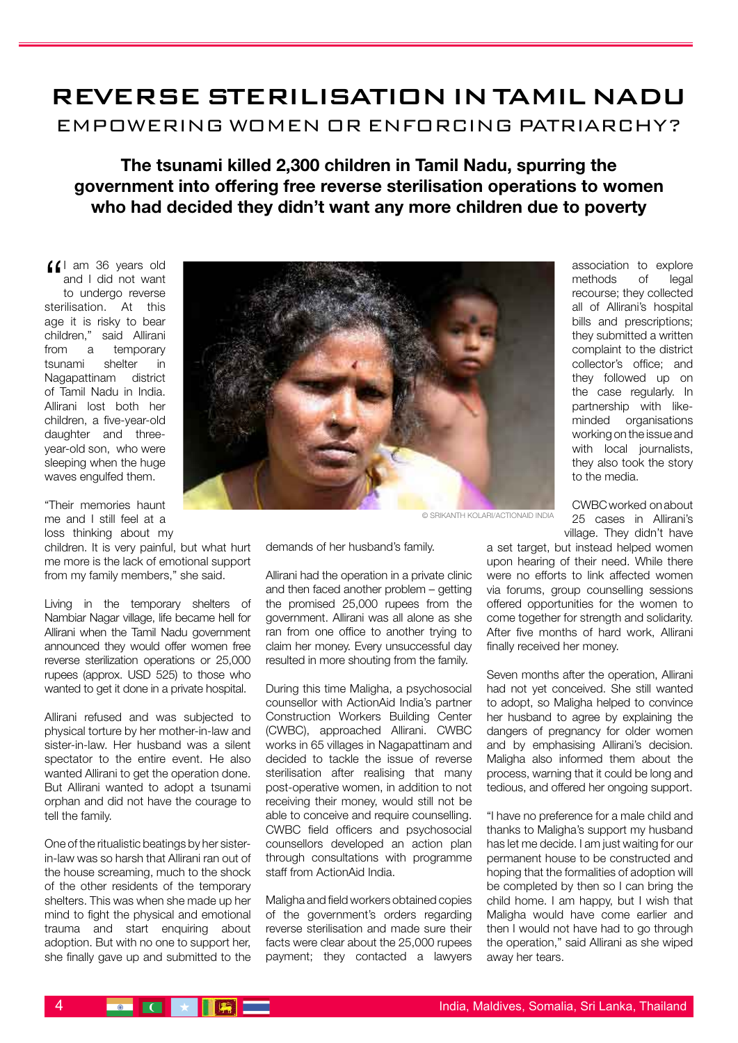### REVERSE STERILISATION IN TAMIL NADU Empowering women or enforcing patriarchy?

**The tsunami killed 2,300 children in Tamil Nadu, spurring the government into offering free reverse sterilisation operations to women who had decided they didn't want any more children due to poverty**

I am 36 years old<br>and I did not want<br>to undergo reverse and I did not want to undergo reverse sterilisation. At this age it is risky to bear children," said Allirani from a temporary tsunami shelter in Nagapattinam district of Tamil Nadu in India. Allirani lost both her children, a five-year-old daughter and threeyear-old son, who were sleeping when the huge waves engulfed them.

"Their memories haunt me and I still feel at a loss thinking about my

children. It is very painful, but what hurt me more is the lack of emotional support from my family members," she said.

Living in the temporary shelters of Nambiar Nagar village, life became hell for Allirani when the Tamil Nadu government announced they would offer women free reverse sterilization operations or 25,000 rupees (approx. USD 525) to those who wanted to get it done in a private hospital.

Allirani refused and was subjected to physical torture by her mother-in-law and sister-in-law. Her husband was a silent spectator to the entire event. He also wanted Allirani to get the operation done. But Allirani wanted to adopt a tsunami orphan and did not have the courage to tell the family.

One of the ritualistic beatings by her sisterin-law was so harsh that Allirani ran out of the house screaming, much to the shock of the other residents of the temporary shelters. This was when she made up her mind to fight the physical and emotional trauma and start enquiring about adoption. But with no one to support her, she finally gave up and submitted to the



association to explore methods of legal recourse; they collected all of Allirani's hospital bills and prescriptions; they submitted a written complaint to the district collector's office; and they followed up on the case regularly. In partnership with likeminded organisations working on the issue and with local journalists, they also took the story to the media.

CWBC worked on about 25 cases in Allirani's village. They didn't have

© Srikanth Kolari/actionaid india

demands of her husband's family.

Allirani had the operation in a private clinic and then faced another problem – getting the promised 25,000 rupees from the government. Allirani was all alone as she ran from one office to another trying to claim her money. Every unsuccessful day resulted in more shouting from the family.

During this time Maligha, a psychosocial counsellor with ActionAid India's partner Construction Workers Building Center (CWBC), approached Allirani. CWBC works in 65 villages in Nagapattinam and decided to tackle the issue of reverse sterilisation after realising that many post-operative women, in addition to not receiving their money, would still not be able to conceive and require counselling. CWBC field officers and psychosocial counsellors developed an action plan through consultations with programme staff from ActionAid India.

Maligha and field workers obtained copies of the government's orders regarding reverse sterilisation and made sure their facts were clear about the 25,000 rupees payment; they contacted a lawyers a set target, but instead helped women upon hearing of their need. While there were no efforts to link affected women via forums, group counselling sessions offered opportunities for the women to come together for strength and solidarity. After five months of hard work, Allirani finally received her money.

Seven months after the operation, Allirani had not yet conceived. She still wanted to adopt, so Maligha helped to convince her husband to agree by explaining the dangers of pregnancy for older women and by emphasising Allirani's decision. Maligha also informed them about the process, warning that it could be long and tedious, and offered her ongoing support.

"I have no preference for a male child and thanks to Maligha's support my husband has let me decide. I am just waiting for our permanent house to be constructed and hoping that the formalities of adoption will be completed by then so I can bring the child home. I am happy, but I wish that Maligha would have come earlier and then I would not have had to go through the operation," said Allirani as she wiped away her tears.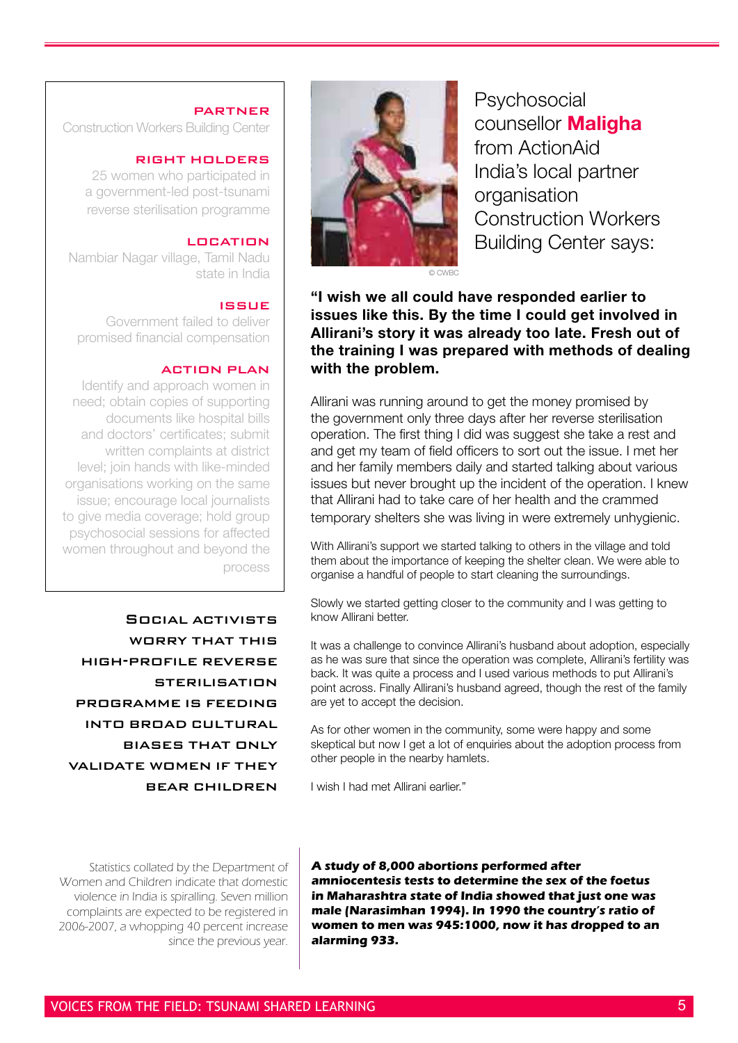### **PARTNER**

Construction Workers Building Center

### right holders

25 women who participated in a government-led post-tsunami reverse sterilisation programme

### **LOCATION**

Nambiar Nagar village, Tamil Nadu state in India

### issue

Government failed to deliver promised financial compensation

### action plan

Identify and approach women in need; obtain copies of supporting documents like hospital bills and doctors' certificates; submit written complaints at district level; join hands with like-minded organisations working on the same issue; encourage local journalists to give media coverage; hold group psychosocial sessions for affected women throughout and beyond the process

Social activists WORRY THAT THIS high-profile reverse **STERILISATION** programme is feeding into broad cultural biases that only validate women if they bear children

Statistics collated by the Department of Women and Children indicate that domestic violence in India is spiralling. Seven million complaints are expected to be registered in 2006-2007, a whopping 40 percent increase since the previous year.



**Psychosocial** counsellor **Maligha** from ActionAid India's local partner organisation Construction Workers Building Center says:

**"I wish we all could have responded earlier to issues like this. By the time I could get involved in Allirani's story it was already too late. Fresh out of the training I was prepared with methods of dealing with the problem.** 

Allirani was running around to get the money promised by the government only three days after her reverse sterilisation operation. The first thing I did was suggest she take a rest and and get my team of field officers to sort out the issue. I met her and her family members daily and started talking about various issues but never brought up the incident of the operation. I knew that Allirani had to take care of her health and the crammed temporary shelters she was living in were extremely unhygienic.

With Allirani's support we started talking to others in the village and told them about the importance of keeping the shelter clean. We were able to organise a handful of people to start cleaning the surroundings.

Slowly we started getting closer to the community and I was getting to know Allirani better.

It was a challenge to convince Allirani's husband about adoption, especially as he was sure that since the operation was complete, Allirani's fertility was back. It was quite a process and I used various methods to put Allirani's point across. Finally Allirani's husband agreed, though the rest of the family are yet to accept the decision.

As for other women in the community, some were happy and some skeptical but now I get a lot of enquiries about the adoption process from other people in the nearby hamlets.

I wish I had met Allirani earlier."

**A study of 8,000 abortions performed after amniocentesis tests to determine the sex of the foetus in Maharashtra state of India showed that just one was male (Narasimhan 1994). In 1990 the country's ratio of women to men was 945:1000, now it has dropped to an alarming 933.**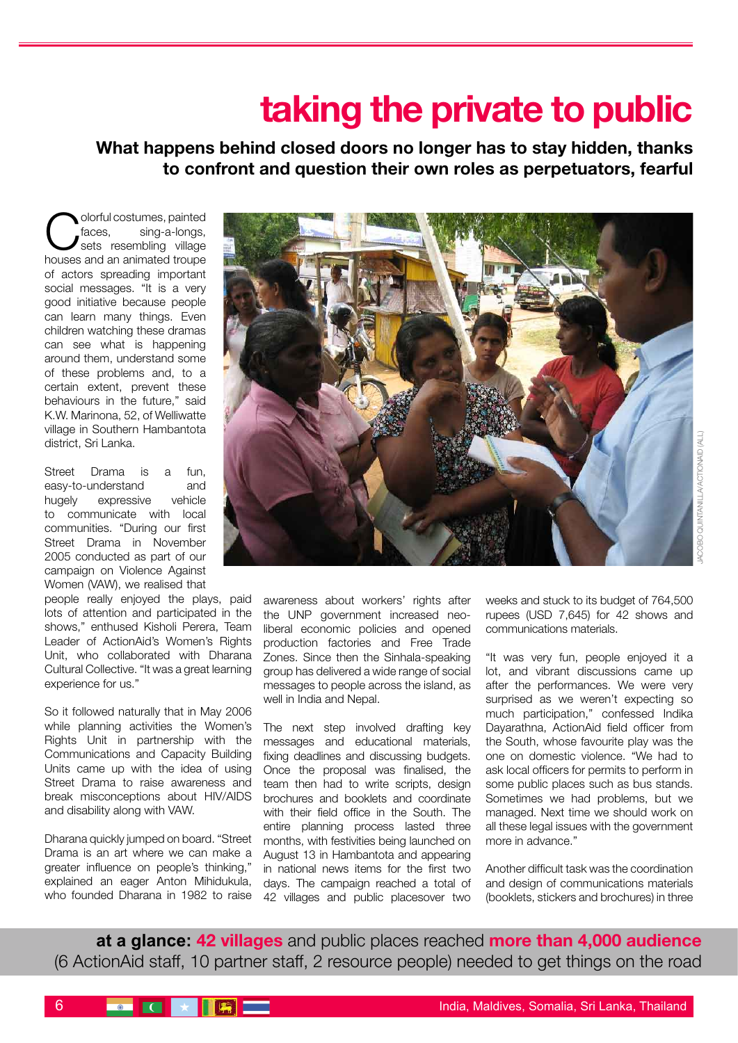## **taking the private to public**

**What happens behind closed doors no longer has to stay hidden, thanks to confront and question their own roles as perpetuators, fearful**

Colorful costumes, painted<br>
faces, sing-a-longs,<br>
house and the village faces, sing-a-longs, houses and an animated troupe of actors spreading important social messages. "It is a very good initiative because people can learn many things. Even children watching these dramas can see what is happening around them, understand some of these problems and, to a certain extent, prevent these behaviours in the future," said K.W. Marinona, 52, of Welliwatte village in Southern Hambantota district, Sri Lanka.

Street Drama is a fun, easy-to-understand and hugely expressive vehicle to communicate with local communities. "During our first Street Drama in November 2005 conducted as part of our campaign on Violence Against Women (VAW), we realised that

people really enjoyed the plays, paid lots of attention and participated in the shows," enthused Kisholi Perera, Team Leader of ActionAid's Women's Rights Unit, who collaborated with Dharana Cultural Collective. "It was a great learning experience for us."

So it followed naturally that in May 2006 while planning activities the Women's Rights Unit in partnership with the Communications and Capacity Building Units came up with the idea of using Street Drama to raise awareness and break misconceptions about HIV/AIDS and disability along with VAW.

Dharana quickly jumped on board. "Street Drama is an art where we can make a greater influence on people's thinking," explained an eager Anton Mihidukula, who founded Dharana in 1982 to raise



awareness about workers' rights after the UNP government increased neoliberal economic policies and opened production factories and Free Trade Zones. Since then the Sinhala-speaking group has delivered a wide range of social messages to people across the island, as well in India and Nepal.

The next step involved drafting key messages and educational materials, fixing deadlines and discussing budgets. Once the proposal was finalised, the team then had to write scripts, design brochures and booklets and coordinate with their field office in the South. The entire planning process lasted three months, with festivities being launched on August 13 in Hambantota and appearing in national news items for the first two days. The campaign reached a total of 42 villages and public placesover two

weeks and stuck to its budget of 764,500 rupees (USD 7,645) for 42 shows and communications materials.

"It was very fun, people enjoyed it a lot, and vibrant discussions came up after the performances. We were very surprised as we weren't expecting so much participation," confessed Indika Dayarathna, ActionAid field officer from the South, whose favourite play was the one on domestic violence. "We had to ask local officers for permits to perform in some public places such as bus stands. Sometimes we had problems, but we managed. Next time we should work on all these legal issues with the government more in advance."

Another difficult task was the coordination and design of communications materials (booklets, stickers and brochures) in three

**at a glance: 42 villages** and public places reached **more than 4,000 audience** (6 ActionAid staff, 10 partner staff, 2 resource people) needed to get things on the road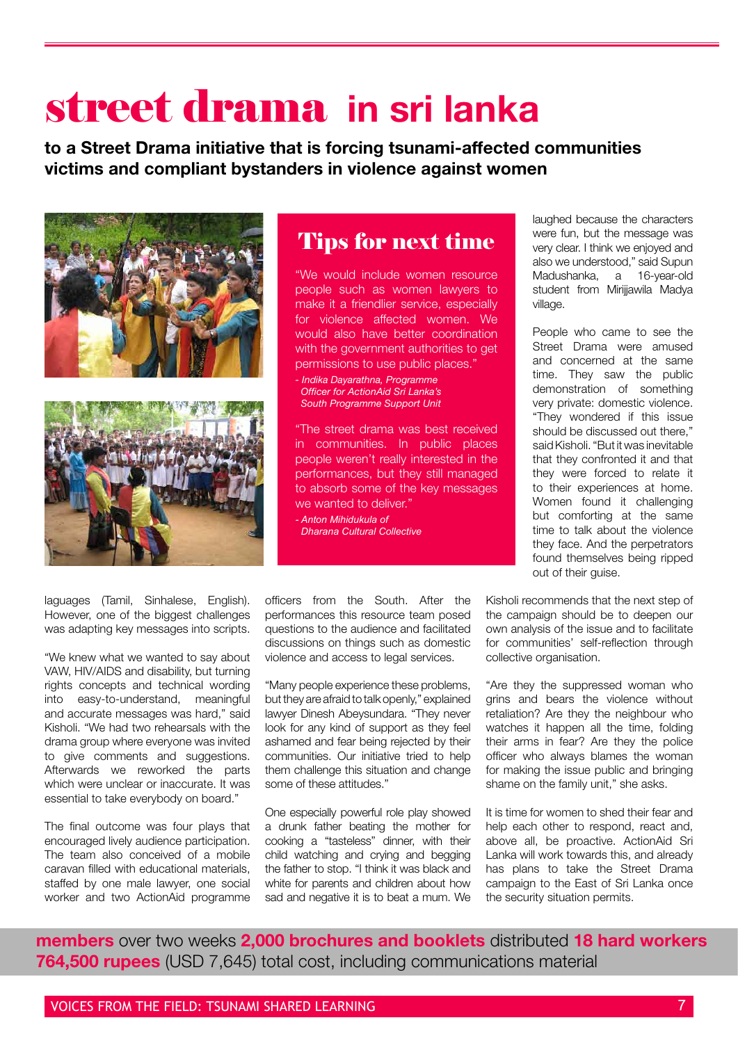## street drama **in sri lanka**

**to a Street Drama initiative that is forcing tsunami-affected communities victims and compliant bystanders in violence against women**





laguages (Tamil, Sinhalese, English). However, one of the biggest challenges was adapting key messages into scripts.

"We knew what we wanted to say about VAW, HIV/AIDS and disability, but turning rights concepts and technical wording into easy-to-understand, meaningful and accurate messages was hard," said Kisholi. "We had two rehearsals with the drama group where everyone was invited to give comments and suggestions. Afterwards we reworked the parts which were unclear or inaccurate. It was essential to take everybody on board."

The final outcome was four plays that encouraged lively audience participation. The team also conceived of a mobile caravan filled with educational materials, staffed by one male lawyer, one social worker and two ActionAid programme

## Tips for next time

"We would include women resource people such as women lawyers to make it a friendlier service, especially for violence affected women. We would also have better coordination with the government authorities to get permissions to use public places."

*- Indika Dayarathna, Programme Officer for ActionAid Sri Lanka's South Programme Support Unit*

"The street drama was best received in communities. In public places people weren't really interested in the performances, but they still managed to absorb some of the key messages we wanted to deliver."

*- Anton Mihidukula of Dharana Cultural Collective*

laughed because the characters were fun, but the message was very clear. I think we enjoyed and also we understood," said Supun Madushanka, a 16-year-old student from Mirijjawila Madya village.

People who came to see the Street Drama were amused and concerned at the same time. They saw the public demonstration of something very private: domestic violence. "They wondered if this issue should be discussed out there," said Kisholi. "But it was inevitable that they confronted it and that they were forced to relate it to their experiences at home. Women found it challenging but comforting at the same time to talk about the violence they face. And the perpetrators found themselves being ripped out of their guise.

officers from the South. After the performances this resource team posed questions to the audience and facilitated discussions on things such as domestic violence and access to legal services.

"Many people experience these problems, but they are afraid to talk openly," explained lawyer Dinesh Abeysundara. "They never look for any kind of support as they feel ashamed and fear being rejected by their communities. Our initiative tried to help them challenge this situation and change some of these attitudes."

One especially powerful role play showed a drunk father beating the mother for cooking a "tasteless" dinner, with their child watching and crying and begging the father to stop. "I think it was black and white for parents and children about how sad and negative it is to beat a mum. We Kisholi recommends that the next step of the campaign should be to deepen our own analysis of the issue and to facilitate for communities' self-reflection through collective organisation.

"Are they the suppressed woman who grins and bears the violence without retaliation? Are they the neighbour who watches it happen all the time, folding their arms in fear? Are they the police officer who always blames the woman for making the issue public and bringing shame on the family unit," she asks.

It is time for women to shed their fear and help each other to respond, react and, above all, be proactive. ActionAid Sri Lanka will work towards this, and already has plans to take the Street Drama campaign to the East of Sri Lanka once the security situation permits.

 **members** over two weeks **2,000 brochures and booklets** distributed **18 hard workers 764,500 rupees** (USD 7,645) total cost, including communications material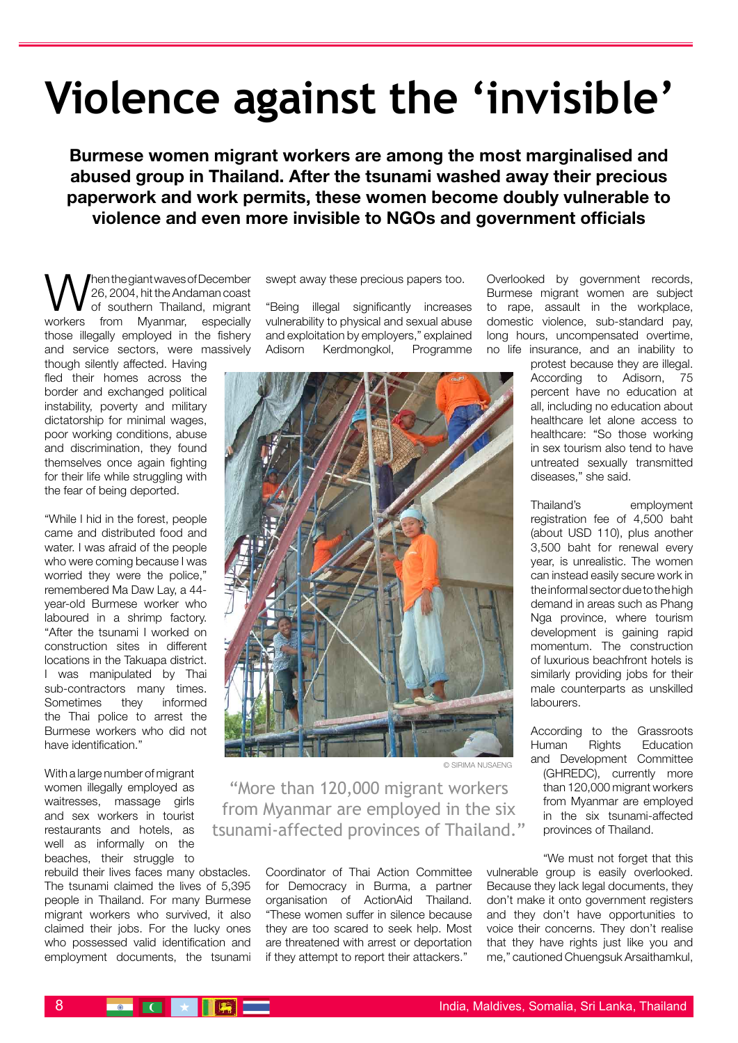# **Violence against the 'invisible'**

**Burmese women migrant workers are among the most marginalised and abused group in Thailand. After the tsunami washed away their precious paperwork and work permits, these women become doubly vulnerable to violence and even more invisible to NGOs and government officials** 

**W** Then the giant waves of December<br>  $\sum_{\text{of } \text{souther}}$  Thailand, migrant 26, 2004, hit the Andaman coast workers from Myanmar, especially those illegally employed in the fishery and service sectors, were massively

though silently affected. Having fled their homes across the border and exchanged political instability, poverty and military dictatorship for minimal wages, poor working conditions, abuse and discrimination, they found themselves once again fighting for their life while struggling with the fear of being deported.

"While I hid in the forest, people came and distributed food and water. I was afraid of the people who were coming because I was worried they were the police," remembered Ma Daw Lay, a 44 year-old Burmese worker who laboured in a shrimp factory. "After the tsunami I worked on construction sites in different locations in the Takuapa district. I was manipulated by Thai sub-contractors many times. Sometimes they informed the Thai police to arrest the Burmese workers who did not have identification."

With a large number of migrant women illegally employed as waitresses, massage girls and sex workers in tourist restaurants and hotels, as well as informally on the beaches, their struggle to

rebuild their lives faces many obstacles. The tsunami claimed the lives of 5,395 people in Thailand. For many Burmese migrant workers who survived, it also claimed their jobs. For the lucky ones who possessed valid identification and employment documents, the tsunami

swept away these precious papers too.

"Being illegal significantly increases vulnerability to physical and sexual abuse and exploitation by employers," explained Adisorn Kerdmongkol, Programme



© sirima nusaeng

"More than 120,000 migrant workers from Myanmar are employed in the six tsunami-affected provinces of Thailand."

> Coordinator of Thai Action Committee for Democracy in Burma, a partner organisation of ActionAid Thailand. "These women suffer in silence because they are too scared to seek help. Most are threatened with arrest or deportation if they attempt to report their attackers."

Overlooked by government records, Burmese migrant women are subject to rape, assault in the workplace, domestic violence, sub-standard pay, long hours, uncompensated overtime, no life insurance, and an inability to

> protest because they are illegal. According to Adisorn, 75 percent have no education at all, including no education about healthcare let alone access to healthcare: "So those working in sex tourism also tend to have untreated sexually transmitted diseases," she said.

> Thailand's employment registration fee of 4,500 baht (about USD 110), plus another 3,500 baht for renewal every year, is unrealistic. The women can instead easily secure work in the informal sector due to the high demand in areas such as Phang Nga province, where tourism development is gaining rapid momentum. The construction of luxurious beachfront hotels is similarly providing jobs for their male counterparts as unskilled labourers.

> According to the Grassroots Human Rights Education and Development Committee (GHREDC), currently more than 120,000 migrant workers from Myanmar are employed in the six tsunami-affected provinces of Thailand.

"We must not forget that this vulnerable group is easily overlooked. Because they lack legal documents, they don't make it onto government registers and they don't have opportunities to voice their concerns. They don't realise that they have rights just like you and me," cautioned Chuengsuk Arsaithamkul,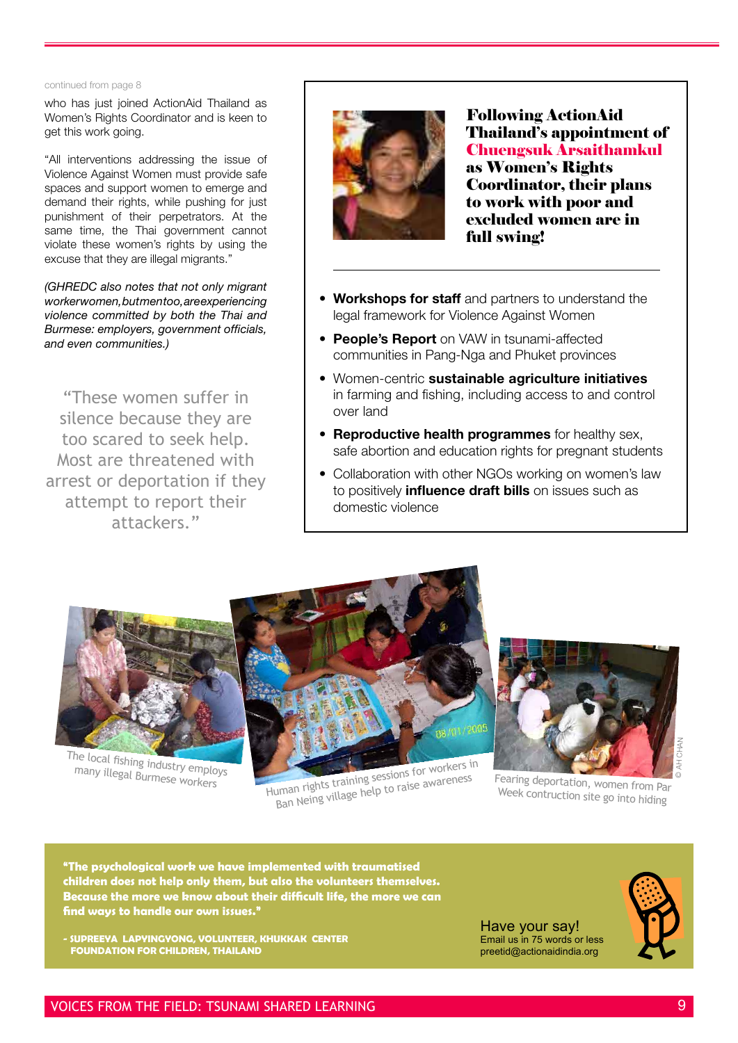#### continued from page 8

who has just joined ActionAid Thailand as Women's Rights Coordinator and is keen to get this work going.

"All interventions addressing the issue of Violence Against Women must provide safe spaces and support women to emerge and demand their rights, while pushing for just punishment of their perpetrators. At the same time, the Thai government cannot violate these women's rights by using the excuse that they are illegal migrants."

*(GHREDC also notes that not only migrant worker women, but men too, are experiencing violence committed by both the Thai and Burmese: employers, government officials, and even communities.)*

"These women suffer in silence because they are too scared to seek help. Most are threatened with arrest or deportation if they attempt to report their attackers."



Following ActionAid Thailand's appointment of Chuengsuk Arsaithamkul as Women's Rights Coordinator, their plans to work with poor and excluded women are in full swing!

- **Workshops for staff** and partners to understand the legal framework for Violence Against Women
- **People's Report** on VAW in tsunami-affected communities in Pang-Nga and Phuket provinces
- Women-centric **sustainable agriculture initiatives** in farming and fishing, including access to and control over land
- **Reproductive health programmes** for healthy sex, safe abortion and education rights for pregnant students
- Collaboration with other NGOs working on women's law to positively **influence draft bills** on issues such as domestic violence



The local fishing industry employs

Human rights training sessions for workers in uman rights training sessions for workers Fearing deportation, women from Par<br>Ban Neing village help to raise awareness Week contruction site on the Mar



Week contruction site go into hiding

**"The psychological work we have implemented with traumatised children does not help only them, but also the volunteers themselves. Because the more we know about their difficult life, the more we can find ways to handle our own issues."**

**- Supreeya Lapyingyong, volunteer, Khukkak Center Foundation for children, thailand**



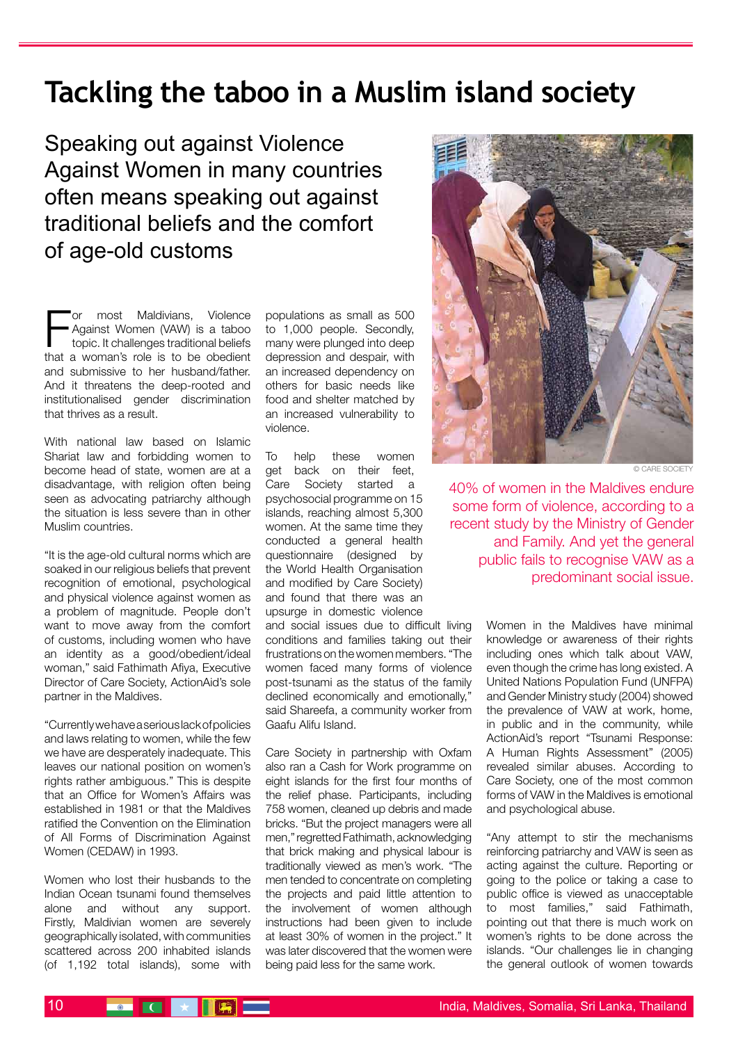## **Tackling the taboo in a Muslim island society**

Speaking out against Violence Against Women in many countries often means speaking out against traditional beliefs and the comfort of age-old customs

For most Maldivians, Violence<br>Against Women (VAW) is a taboo<br>topic. It challenges traditional beliefs<br>that a woman's role is to be obedient or most Maldivians, Violence Against Women (VAW) is a taboo topic. It challenges traditional beliefs and submissive to her husband/father. And it threatens the deep-rooted and institutionalised gender discrimination that thrives as a result.

With national law based on Islamic Shariat law and forbidding women to become head of state, women are at a disadvantage, with religion often being seen as advocating patriarchy although the situation is less severe than in other Muslim countries.

"It is the age-old cultural norms which are soaked in our religious beliefs that prevent recognition of emotional, psychological and physical violence against women as a problem of magnitude. People don't want to move away from the comfort of customs, including women who have an identity as a good/obedient/ideal woman," said Fathimath Afiya, Executive Director of Care Society, ActionAid's sole partner in the Maldives.

"Currently we have a serious lack of policies and laws relating to women, while the few we have are desperately inadequate. This leaves our national position on women's rights rather ambiguous." This is despite that an Office for Women's Affairs was established in 1981 or that the Maldives ratified the Convention on the Elimination of All Forms of Discrimination Against Women (CEDAW) in 1993.

Women who lost their husbands to the Indian Ocean tsunami found themselves alone and without any support. Firstly, Maldivian women are severely geographically isolated, with communities scattered across 200 inhabited islands (of 1,192 total islands), some with

populations as small as 500 to 1,000 people. Secondly, many were plunged into deep depression and despair, with an increased dependency on others for basic needs like food and shelter matched by an increased vulnerability to violence.

To help these women get back on their feet. Care Society started a psychosocial programme on 15 islands, reaching almost 5,300 women. At the same time they conducted a general health questionnaire (designed by the World Health Organisation and modified by Care Society) and found that there was an upsurge in domestic violence

and social issues due to difficult living conditions and families taking out their frustrations on the women members. "The women faced many forms of violence post-tsunami as the status of the family declined economically and emotionally," said Shareefa, a community worker from Gaafu Alifu Island.

Care Society in partnership with Oxfam also ran a Cash for Work programme on eight islands for the first four months of the relief phase. Participants, including 758 women, cleaned up debris and made bricks. "But the project managers were all men," regretted Fathimath, acknowledging that brick making and physical labour is traditionally viewed as men's work. "The men tended to concentrate on completing the projects and paid little attention to the involvement of women although instructions had been given to include at least 30% of women in the project." It was later discovered that the women were being paid less for the same work.



© CARE SOCIETY

40% of women in the Maldives endure some form of violence, according to a recent study by the Ministry of Gender and Family. And yet the general public fails to recognise VAW as a predominant social issue.

> Women in the Maldives have minimal knowledge or awareness of their rights including ones which talk about VAW, even though the crime has long existed. A United Nations Population Fund (UNFPA) and Gender Ministry study (2004) showed the prevalence of VAW at work, home, in public and in the community, while ActionAid's report "Tsunami Response: A Human Rights Assessment" (2005) revealed similar abuses. According to Care Society, one of the most common forms of VAW in the Maldives is emotional and psychological abuse.

> "Any attempt to stir the mechanisms reinforcing patriarchy and VAW is seen as acting against the culture. Reporting or going to the police or taking a case to public office is viewed as unacceptable to most families," said Fathimath, pointing out that there is much work on women's rights to be done across the islands. "Our challenges lie in changing the general outlook of women towards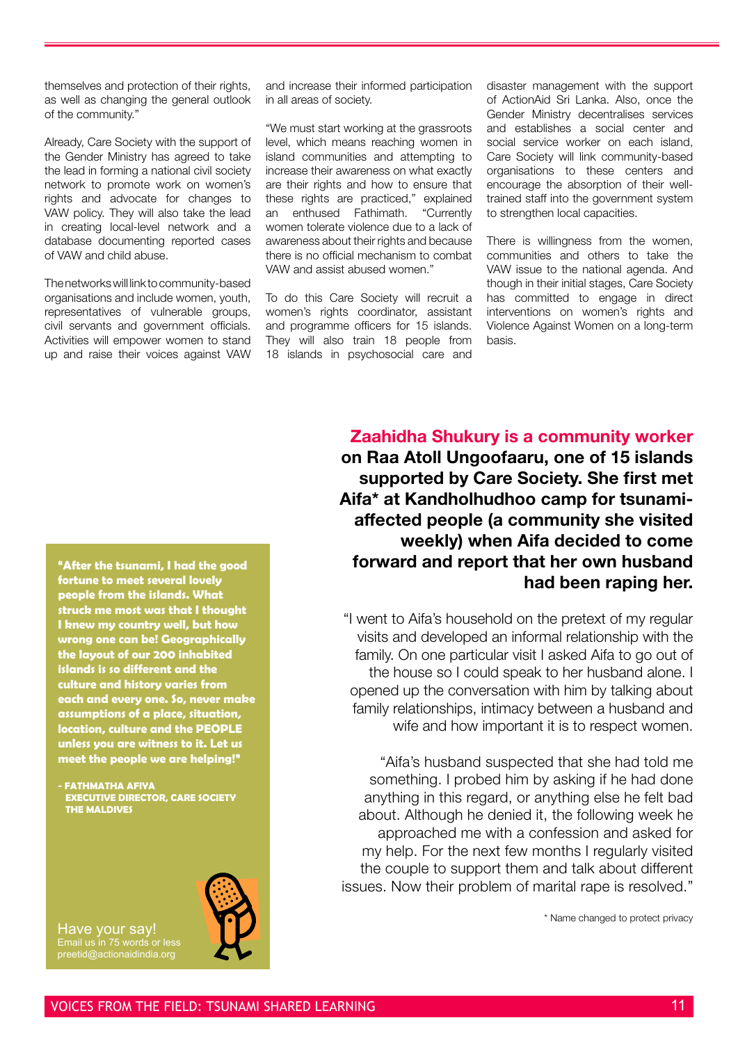themselves and protection of their rights, as well as changing the general outlook of the community."

Already, Care Society with the support of the Gender Ministry has agreed to take the lead in forming a national civil society network to promote work on women's rights and advocate for changes to VAW policy. They will also take the lead in creating local-level network and a database documenting reported cases of VAW and child abuse.

The networks will link to community-based organisations and include women, youth, representatives of vulnerable groups, civil servants and government officials. Activities will empower women to stand up and raise their voices against VAW

and increase their informed participation in all areas of society.

"We must start working at the grassroots level, which means reaching women in island communities and attempting to increase their awareness on what exactly are their rights and how to ensure that these rights are practiced," explained an enthused Fathimath. "Currently women tolerate violence due to a lack of awareness about their rights and because there is no official mechanism to combat VAW and assist abused women."

To do this Care Society will recruit a women's rights coordinator, assistant and programme officers for 15 islands. They will also train 18 people from 18 islands in psychosocial care and disaster management with the support of ActionAid Sri Lanka. Also, once the Gender Ministry decentralises services and establishes a social center and social service worker on each island, Care Society will link community-based organisations to these centers and encourage the absorption of their welltrained staff into the government system to strengthen local capacities.

There is willingness from the women, communities and others to take the VAW issue to the national agenda. And though in their initial stages, Care Society has committed to engage in direct interventions on women's rights and Violence Against Women on a long-term basis.

**Zaahidha Shukury is a community worker on Raa Atoll Ungoofaaru, one of 15 islands supported by Care Society. She first met Aifa\* at Kandholhudhoo camp for tsunamiaffected people (a community she visited weekly) when Aifa decided to come forward and report that her own husband had been raping her.**

"I went to Aifa's household on the pretext of my regular visits and developed an informal relationship with the family. On one particular visit I asked Aifa to go out of the house so I could speak to her husband alone. I opened up the conversation with him by talking about family relationships, intimacy between a husband and wife and how important it is to respect women.

"Aifa's husband suspected that she had told me something. I probed him by asking if he had done anything in this regard, or anything else he felt bad about. Although he denied it, the following week he approached me with a confession and asked for my help. For the next few months I regularly visited the couple to support them and talk about different issues. Now their problem of marital rape is resolved."

\* Name changed to protect privacy

**"After the tsunami, I had the good fortune to meet several lovely people from the islands. What struck me most was that I thought I knew my country well, but how wrong one can be! Geographically the layout of our 200 inhabited islands is so different and the culture and history varies from each and every one. So, never make assumptions of a place, situation, location, culture and the PEOPLE unless you are witness to it. Let us meet the people we are helping!"** 

**- FATHMATHA AFIYA executive director, CARE SOCIETY THE MALDIVES**



Have your say! Email us in 75 words or less preetid@actionaidindia.org